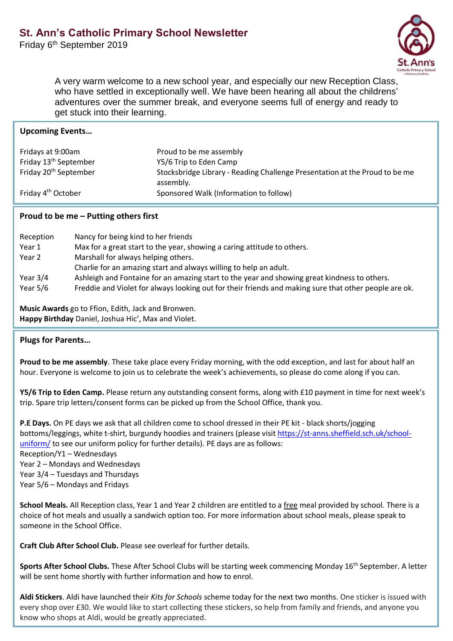Friday 6<sup>th</sup> September 2019



A very warm welcome to a new school year, and especially our new Reception Class, who have settled in exceptionally well. We have been hearing all about the childrens' adventures over the summer break, and everyone seems full of energy and ready to get stuck into their learning.

| <b>Upcoming Events</b>            |                                                                                          |
|-----------------------------------|------------------------------------------------------------------------------------------|
| Fridays at 9:00am                 | Proud to be me assembly                                                                  |
| Friday 13 <sup>th</sup> September | Y5/6 Trip to Eden Camp                                                                   |
| Friday 20 <sup>th</sup> September | Stocksbridge Library - Reading Challenge Presentation at the Proud to be me<br>assembly. |
| Friday 4 <sup>th</sup> October    | Sponsored Walk (Information to follow)                                                   |

## **Proud to be me – Putting others first**

| Reception  | Nancy for being kind to her friends                                                                   |
|------------|-------------------------------------------------------------------------------------------------------|
| Year 1     | Max for a great start to the year, showing a caring attitude to others.                               |
| Year 2     | Marshall for always helping others.                                                                   |
|            | Charlie for an amazing start and always willing to help an adult.                                     |
| Year $3/4$ | Ashleigh and Fontaine for an amazing start to the year and showing great kindness to others.          |
| Year $5/6$ | Freddie and Violet for always looking out for their friends and making sure that other people are ok. |

**Music Awards** go to Ffion, Edith, Jack and Bronwen. **Happy Birthday** Daniel, Joshua Hic', Max and Violet.

## **Plugs for Parents…**

**Proud to be me assembly**. These take place every Friday morning, with the odd exception, and last for about half an hour. Everyone is welcome to join us to celebrate the week's achievements, so please do come along if you can.

**Y5/6 Trip to Eden Camp.** Please return any outstanding consent forms, along with £10 payment in time for next week's trip. Spare trip letters/consent forms can be picked up from the School Office, thank you.

**P.E Days.** On PE days we ask that all children come to school dressed in their PE kit - black shorts/jogging bottoms/leggings, white t-shirt, burgundy hoodies and trainers (please visit [https://st-anns.sheffield.sch.uk/school](https://st-anns.sheffield.sch.uk/school-uniform/)[uniform/](https://st-anns.sheffield.sch.uk/school-uniform/) to see our uniform policy for further details). PE days are as follows: Reception/Y1 – Wednesdays Year 2 – Mondays and Wednesdays Year 3/4 – Tuesdays and Thursdays Year 5/6 – Mondays and Fridays

**School Meals.** All Reception class, Year 1 and Year 2 children are entitled to a free meal provided by school. There is a choice of hot meals and usually a sandwich option too. For more information about school meals, please speak to someone in the School Office.

**Craft Club After School Club.** Please see overleaf for further details.

**Sports After School Clubs.** These After School Clubs will be starting week commencing Monday 16<sup>th</sup> September. A letter will be sent home shortly with further information and how to enrol.

**Aldi Stickers**. Aldi have launched their *Kits for Schools* scheme today for the next two months. One sticker is issued with every shop over £30. We would like to start collecting these stickers, so help from family and friends, and anyone you know who shops at Aldi, would be greatly appreciated.